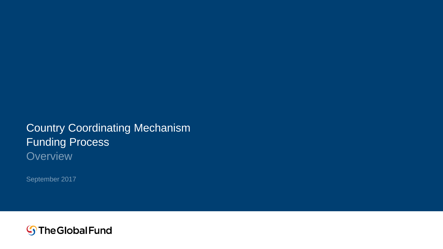### Country Coordinating Mechanism Funding Process **Overview**

September 2017

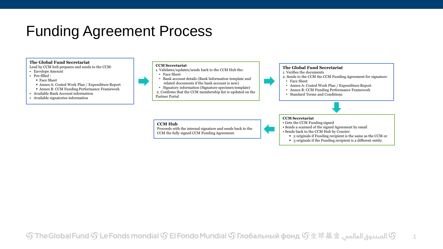### Funding Agreement Process

### **The Global Fund Secretariat**

Lead by CCM hub prepares and sends to the CCM:

- Envelope Amount
- Pre-filled :
- Face Sheet
- Annex A: Costed Work Plan / Expenditure Report Annex B: CCM Funding Performance Framework
- Available Bank Account information
- Available signatories information

#### **CCM Secretariat**

- 1. Validates/updates/sends back to the CCM Hub the:
- Face Sheet
- Bank account details (Bank Information template and related documents if the bank account is new)
- Signatory information (Signature specimen template) 2. Confirms that the CCM membership list is updated on the Partner Portal

### **The Global Fund Secretariat**

- 1. Verifies the documents
- 2. Sends to the CCM the CCM Funding Agreement for signature:
- Face Sheet
	- Annex A: Costed Work Plan / Expenditure Report
	- Annex B: CCM Funding Performance Framework
	- Standard Terms and Conditions

### **CCM Secretariat**

- Gets the CCM Funding signed
- Sends a scanned of the signed Agreement by email
- Sends back to the CCM Hub by Courier:
	- 2 originals if Funding recipient is the same as the CCM or

1

3 originals if the Funding recipient is a different entity.

### **CCM Hub**

Proceeds with the internal signature and sends back to the CCM the fully signed CCM Funding Agreement.

###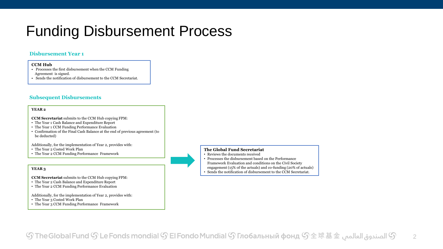# Funding Disbursement Process

### **Disbursement Year 1**

### **CCM Hub**

- Processes the first disbursement when the CCM Funding Agreement is signed.
- Sends the notification of disbursement to the CCM Secretariat.

### **Subsequent Disbursements**

### **YEAR 2**

**CCM Secretariat** submits to the CCM Hub copying FPM:

- The Year 1 Cash Balance and Expenditure Report
- The Year 1 CCM Funding Performance Evaluation
- Confirmation of the Final Cash Balance at the end of previous agreement (to be deducted)

Additionally, for the implementation of Year 2, provides with:

- The Year 2 Costed Work Plan
- The Year 2 CCM Funding Performance Framework

### **YEAR 3**

**CCM Secretariat** submits to the CCM Hub copying FPM:

- The Year 2 Cash Balance and Expenditure Report
- The Year 2 CCM Funding Performance Evaluation

Additionally, for the implementation of Year 2, provides with:

- The Year 3 Costed Work Plan
- The Year 3 CCM Funding Performance Framework



### **The Global Fund Secretariat**

- Reviews the documents received
- Processes the disbursement based on the Performance
- Framework Evaluation and conditions on the Civil Society
- engagement (15% of the actuals) and co-funding (20% of actuals)
- Sends the notification of disbursement to the CCM Secretariat.